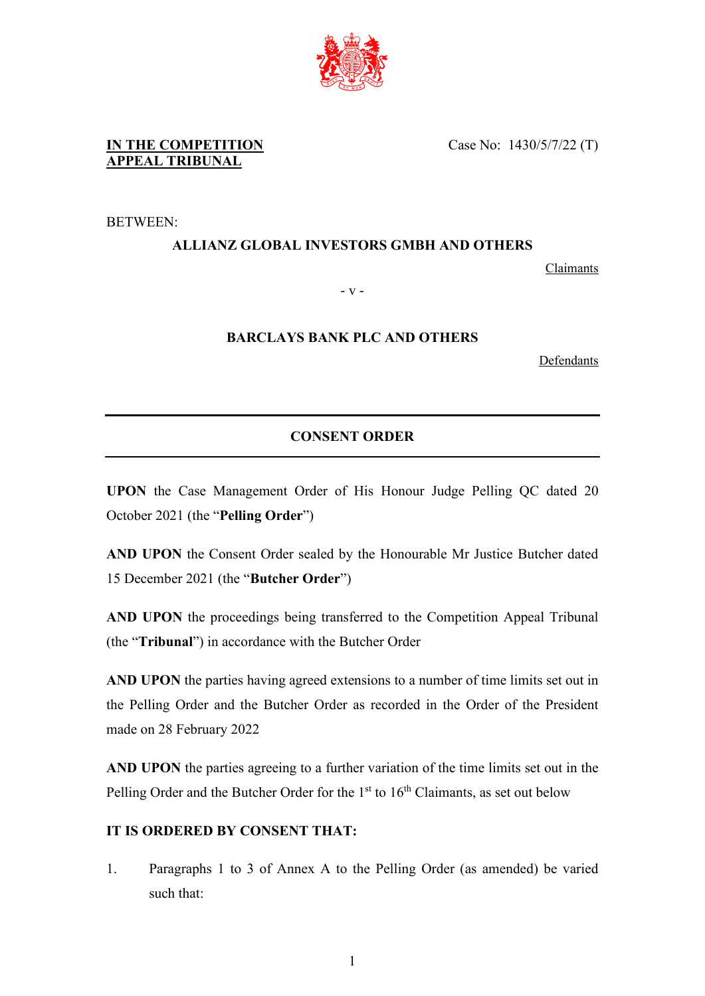

Case No: 1430/5/7/22 (T)

BETWEEN:

## **ALLIANZ GLOBAL INVESTORS GMBH AND OTHERS**

Claimants

- v -

## **BARCLAYS BANK PLC AND OTHERS**

**Defendants** 

## **CONSENT ORDER**

**UPON** the Case Management Order of His Honour Judge Pelling QC dated 20 October 2021 (the "**Pelling Order**")

**AND UPON** the Consent Order sealed by the Honourable Mr Justice Butcher dated 15 December 2021 (the "**Butcher Order**")

AND UPON the proceedings being transferred to the Competition Appeal Tribunal (the "**Tribunal**") in accordance with the Butcher Order

**AND UPON** the parties having agreed extensions to a number of time limits set out in the Pelling Order and the Butcher Order as recorded in the Order of the President made on 28 February 2022

**AND UPON** the parties agreeing to a further variation of the time limits set out in the Pelling Order and the Butcher Order for the  $1<sup>st</sup>$  to  $16<sup>th</sup>$  Claimants, as set out below

## **IT IS ORDERED BY CONSENT THAT:**

1. Paragraphs 1 to 3 of Annex A to the Pelling Order (as amended) be varied such that: